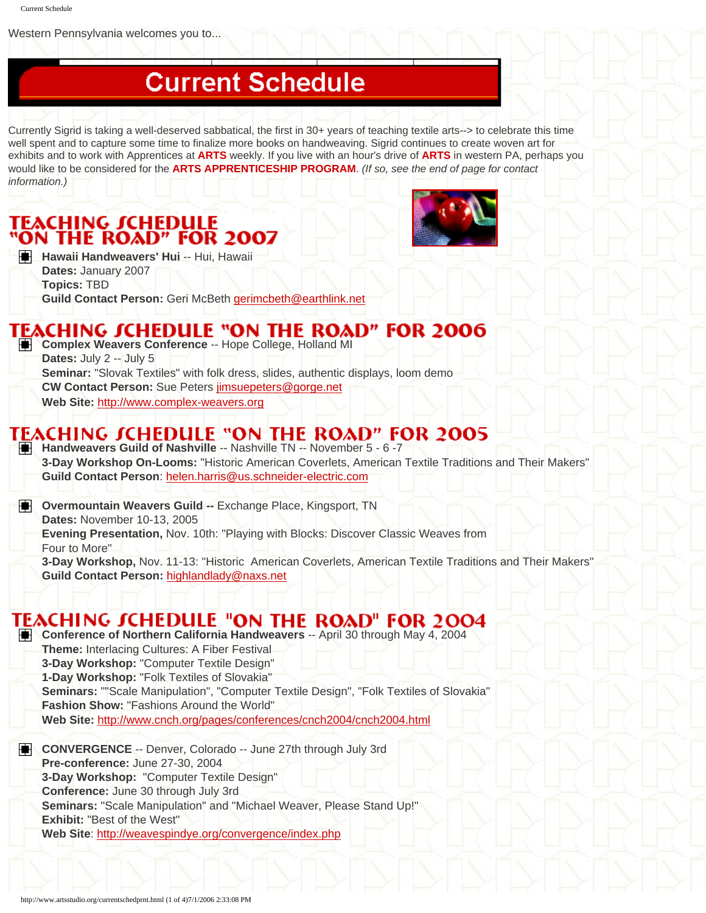Western Pennsylvania welcomes you to...

## **Current Schedule**

Currently Sigrid is taking a well-deserved sabbatical, the first in 30+ years of teaching textile arts--> to celebrate this time well spent and to capture some time to finalize more books on handweaving. Sigrid continues to create woven art for exhibits and to work with Apprentices at **ARTS** weekly. If you live with an hour's drive of **ARTS** in western PA, perhaps you would like to be considered for the **ARTS APPRENTICESHIP PROGRAM**. *(If so, see the end of page for contact information.)* 

# **TEACHING SCHEDULE<br>"ON THE ROAD" FOR 2007**



**H** Hawaii Handweavers' Hui -- Hui, Hawaii **Dates:** January 2007 **Topics:** TBD **Guild Contact Person:** Geri McBeth [gerimcbeth@earthlink.net](mailto:gerimcbeth@earthlink.net)

#### TEACHING SCHEDULE "ON THE ROAD" FOR 2006

**Complex Weavers Conference -- Hope College, Holland MI Dates:** July 2 -- July 5 **Seminar:** "Slovak Textiles" with folk dress, slides, authentic displays, loom demo **CW Contact Person:** Sue Peters [jimsuepeters@gorge.net](mailto:jimsuepeters@gorge.net) **Web Site:** [http://www.complex-weavers.org](http://www.complex-weavers.org/)

### TEACHING SCHEDULE "ON THE ROAD" FOR 2005

**Handweavers Guild of Nashville** -- Nashville TN -- November 5 - 6 -7 **3-Day Workshop On-Looms:** "Historic American Coverlets, American Textile Traditions and Their Makers" **Guild Contact Person**: [helen.harris@us.schneider-electric.com](mailto:helen.harris@us.schneider-electric.com) 

**Digegeral Divermountain Weavers Guild --** Exchange Place, Kingsport, TN **Dates:** November 10-13, 2005 **Evening Presentation,** Nov. 10th: "Playing with Blocks: Discover Classic Weaves from Four to More"

**3-Day Workshop,** Nov. 11-13: "Historic American Coverlets, American Textile Traditions and Their Makers" **Guild Contact Person:** [highlandlady@naxs.net](mailto:highlandlady@naxs.net)

### **TEACHING JCHEDULE "ON THE ROAD" FOR 2004**

**Conference of Northern California Handweavers** -- April 30 through May 4, 2004 **Theme:** Interlacing Cultures: A Fiber Festival **3-Day Workshop:** "Computer Textile Design" **1-Day Workshop:** "Folk Textiles of Slovakia" **Seminars:** ""Scale Manipulation", "Computer Textile Design", "Folk Textiles of Slovakia" **Fashion Show:** "Fashions Around the World" **Web Site:** <http://www.cnch.org/pages/conferences/cnch2004/cnch2004.html>

**CONVERGENCE** -- Denver, Colorado -- June 27th through July 3rd **Pre-conference:** June 27-30, 2004 **3-Day Workshop:** "Computer Textile Design" **Conference:** June 30 through July 3rd **Seminars:** "Scale Manipulation" and "Michael Weaver, Please Stand Up!" **Exhibit:** "Best of the West" **Web Site**:<http://weavespindye.org/convergence/index.php>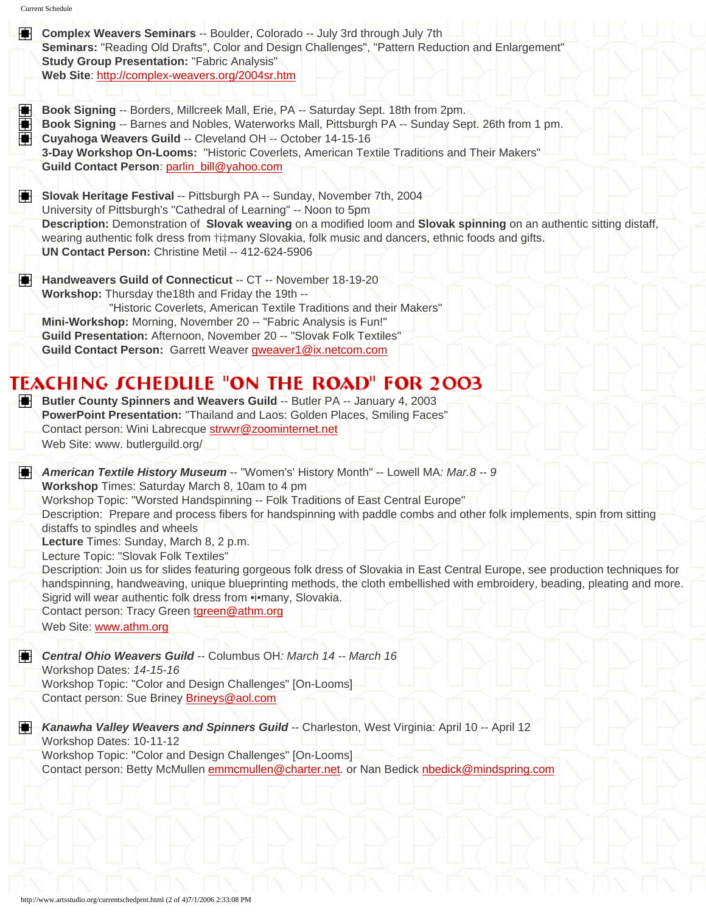|   | Seminars: "Reading Old Drafts", Color and Design Challenges", "Pattern Reduction and Enlargement"<br><b>Study Group Presentation: "Fabric Analysis"</b><br>Web Site: http://complex-weavers.org/2004sr.htm                                                                                                                             |
|---|----------------------------------------------------------------------------------------------------------------------------------------------------------------------------------------------------------------------------------------------------------------------------------------------------------------------------------------|
|   |                                                                                                                                                                                                                                                                                                                                        |
| ŧ | Book Signing -- Borders, Millcreek Mall, Erie, PA -- Saturday Sept. 18th from 2pm.<br>Book Signing -- Barnes and Nobles, Waterworks Mall, Pittsburgh PA -- Sunday Sept. 26th from 1 pm.                                                                                                                                                |
| 倳 | Cuyahoga Weavers Guild -- Cleveland OH -- October 14-15-16<br>3-Day Workshop On-Looms: "Historic Coverlets, American Textile Traditions and Their Makers"                                                                                                                                                                              |
|   | Guild Contact Person: parlin_bill@yahoo.com                                                                                                                                                                                                                                                                                            |
| н | Slovak Heritage Festival -- Pittsburgh PA -- Sunday, November 7th, 2004                                                                                                                                                                                                                                                                |
|   | University of Pittsburgh's "Cathedral of Learning" -- Noon to 5pm                                                                                                                                                                                                                                                                      |
|   | Description: Demonstration of Slovak weaving on a modified loom and Slovak spinning on an authentic sitting distaff,                                                                                                                                                                                                                   |
|   | wearing authentic folk dress from †i‡many Slovakia, folk music and dancers, ethnic foods and gifts.<br>UN Contact Person: Christine Metil -- 412-624-5906                                                                                                                                                                              |
| н | Handweavers Guild of Connecticut -- CT -- November 18-19-20                                                                                                                                                                                                                                                                            |
|   | Workshop: Thursday the 18th and Friday the 19th --                                                                                                                                                                                                                                                                                     |
|   | "Historic Coverlets, American Textile Traditions and their Makers"                                                                                                                                                                                                                                                                     |
|   | Mini-Workshop: Morning, November 20 -- "Fabric Analysis is Fun!"<br>Guild Presentation: Afternoon, November 20 -- "Slovak Folk Textiles"                                                                                                                                                                                               |
|   | Guild Contact Person: Garrett Weaver gweaver1@ix.netcom.com                                                                                                                                                                                                                                                                            |
|   |                                                                                                                                                                                                                                                                                                                                        |
|   | <b>TEACHING JCHEDULE "ON THE ROAD" FOR 2003</b>                                                                                                                                                                                                                                                                                        |
| н | Butler County Spinners and Weavers Guild -- Butler PA -- January 4, 2003<br>PowerPoint Presentation: "Thailand and Laos: Golden Places, Smiling Faces"<br>Contact person: Wini Labrecque strwyr@zoominternet.net                                                                                                                       |
|   | Web Site: www. butlerguild.org/                                                                                                                                                                                                                                                                                                        |
|   | American Textile History Museum -- "Women's' History Month" -- Lowell MA: Mar.8 -- 9                                                                                                                                                                                                                                                   |
|   | Workshop Times: Saturday March 8, 10am to 4 pm<br>Workshop Topic: "Worsted Handspinning -- Folk Traditions of East Central Europe"                                                                                                                                                                                                     |
| н | Description: Prepare and process fibers for handspinning with paddle combs and other folk implements, spin from sitting                                                                                                                                                                                                                |
|   | distaffs to spindles and wheels                                                                                                                                                                                                                                                                                                        |
|   | Lecture Times: Sunday, March 8, 2 p.m.                                                                                                                                                                                                                                                                                                 |
|   | Lecture Topic: "Slovak Folk Textiles"                                                                                                                                                                                                                                                                                                  |
|   | Sigrid will wear authentic folk dress from .i•many, Slovakia.                                                                                                                                                                                                                                                                          |
|   | Description: Join us for slides featuring gorgeous folk dress of Slovakia in East Central Europe, see production techniques for<br>handspinning, handweaving, unique blueprinting methods, the cloth embellished with embroidery, beading, pleating and more.<br>Contact person: Tracy Green tgreen@athm.org<br>Web Site: www.athm.org |
|   |                                                                                                                                                                                                                                                                                                                                        |
|   | Central Ohio Weavers Guild -- Columbus OH: March 14 -- March 16                                                                                                                                                                                                                                                                        |
|   | Workshop Dates: 14-15-16                                                                                                                                                                                                                                                                                                               |
| н | Workshop Topic: "Color and Design Challenges" [On-Looms]<br>Contact person: Sue Briney Brineys@aol.com                                                                                                                                                                                                                                 |
| н | Kanawha Valley Weavers and Spinners Guild -- Charleston, West Virginia: April 10 -- April 12                                                                                                                                                                                                                                           |
|   | Workshop Dates: 10-11-12                                                                                                                                                                                                                                                                                                               |
|   | Workshop Topic: "Color and Design Challenges" [On-Looms]<br>Contact person: Betty McMullen emmcmullen@charter.net. or Nan Bedick nbedick@mindspring.com                                                                                                                                                                                |
|   |                                                                                                                                                                                                                                                                                                                                        |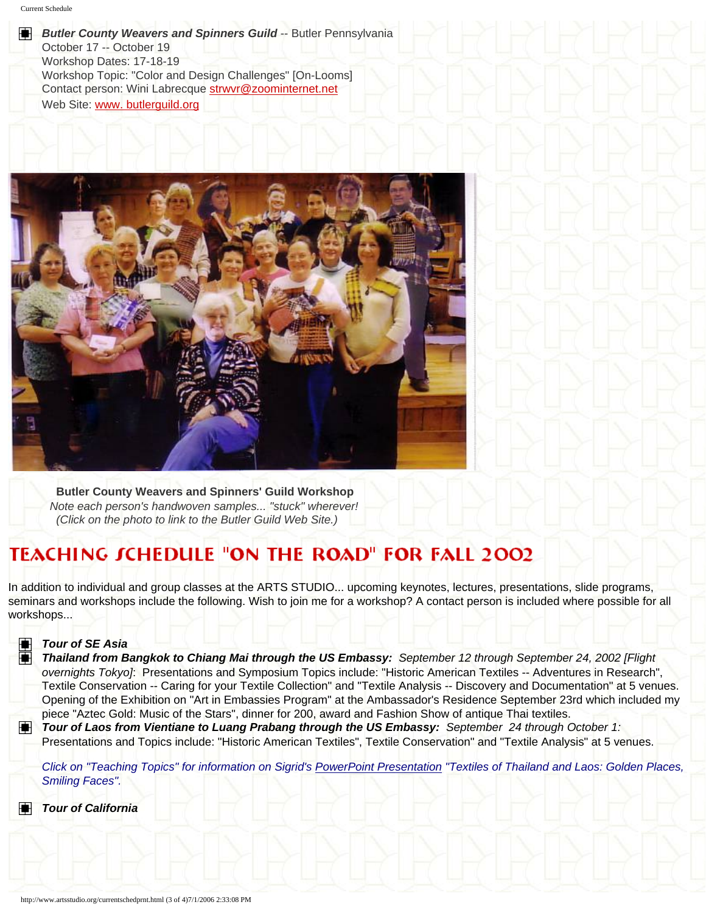#### H. **Butler County Weavers and Spinners Guild -- Butler Pennsylvania**

October 17 -- October 19 Workshop Dates: 17-18-19 Workshop Topic: "Color and Design Challenges" [On-Looms] Contact person: Wini Labrecque [strwvr@zoominternet.net](mailto:strwvr@zoominternet.net)  Web Site: www. butlerquild.org



 **Butler County Weavers and Spinners' Guild Workshop**  *Note each person's handwoven samples... "stuck" wherever! (Click on the photo to link to the Butler Guild Web Site.)*

### **TEACHING JCHEDULE "ON THE ROAD" FOR FALL 2002**

In addition to individual and group classes at the ARTS STUDIO... upcoming keynotes, lectures, presentations, slide programs, seminars and workshops include the following. Wish to join me for a workshop? A contact person is included where possible for all workshops...



#### *Tour of SE Asia*

*Thailand from Bangkok to Chiang Mai through the US Embassy: September 12 through September 24, 2002 [Flight overnights Tokyo]*: Presentations and Symposium Topics include: "Historic American Textiles -- Adventures in Research", Textile Conservation -- Caring for your Textile Collection" and "Textile Analysis -- Discovery and Documentation" at 5 venues. Opening of the Exhibition on "Art in Embassies Program" at the Ambassador's Residence September 23rd which included my piece "Aztec Gold: Music of the Stars", dinner for 200, award and Fashion Show of antique Thai textiles.

**Tour of Laos from Vientiane to Luang Prabang through the US Embassy:** September 24 through October 1: Presentations and Topics include: "Historic American Textiles", Textile Conservation" and "Textile Analysis" at 5 venues.

*Click on "Teaching Topics" for information on Sigrid's PowerPoint Presentation "Textiles of Thailand and Laos: Golden Places, Smiling Faces".* 

*Tour of California*